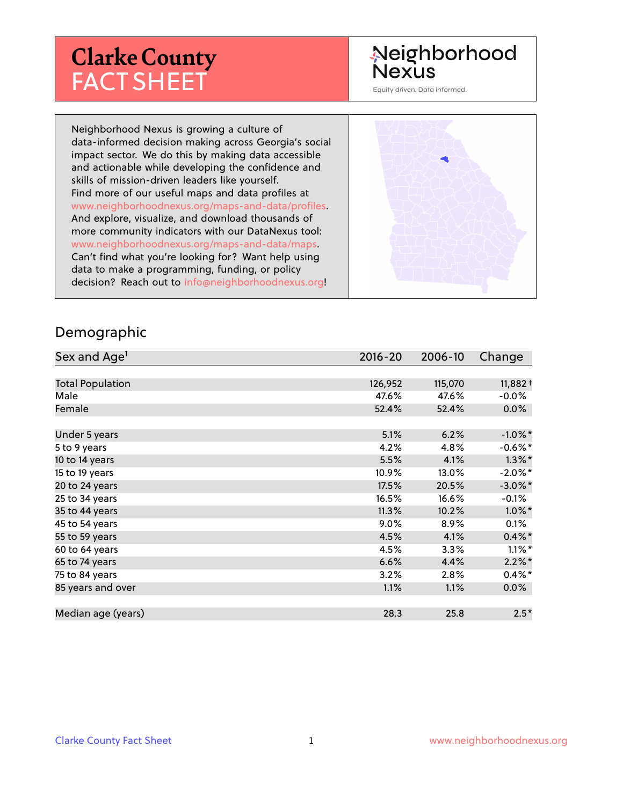# **Clarke County** FACT SHEET

#### Neighborhood **Nexus**

Equity driven. Data informed.

Neighborhood Nexus is growing a culture of data-informed decision making across Georgia's social impact sector. We do this by making data accessible and actionable while developing the confidence and skills of mission-driven leaders like yourself. Find more of our useful maps and data profiles at www.neighborhoodnexus.org/maps-and-data/profiles. And explore, visualize, and download thousands of more community indicators with our DataNexus tool: www.neighborhoodnexus.org/maps-and-data/maps. Can't find what you're looking for? Want help using data to make a programming, funding, or policy decision? Reach out to [info@neighborhoodnexus.org!](mailto:info@neighborhoodnexus.org)



#### Demographic

| Sex and Age <sup>1</sup> | $2016 - 20$ | 2006-10 | Change     |
|--------------------------|-------------|---------|------------|
|                          |             |         |            |
| <b>Total Population</b>  | 126,952     | 115,070 | $11,882+$  |
| Male                     | 47.6%       | 47.6%   | $-0.0\%$   |
| Female                   | 52.4%       | 52.4%   | $0.0\%$    |
|                          |             |         |            |
| Under 5 years            | 5.1%        | 6.2%    | $-1.0\%$ * |
| 5 to 9 years             | 4.2%        | 4.8%    | $-0.6\%$ * |
| 10 to 14 years           | 5.5%        | 4.1%    | $1.3\%$ *  |
| 15 to 19 years           | 10.9%       | 13.0%   | $-2.0\%$ * |
| 20 to 24 years           | 17.5%       | 20.5%   | $-3.0\%$ * |
| 25 to 34 years           | 16.5%       | 16.6%   | $-0.1\%$   |
| 35 to 44 years           | 11.3%       | 10.2%   | $1.0\%$ *  |
| 45 to 54 years           | 9.0%        | 8.9%    | $0.1\%$    |
| 55 to 59 years           | 4.5%        | 4.1%    | $0.4\%$ *  |
| 60 to 64 years           | 4.5%        | 3.3%    | $1.1\%$ *  |
| 65 to 74 years           | 6.6%        | 4.4%    | $2.2\%$ *  |
| 75 to 84 years           | 3.2%        | 2.8%    | $0.4\%$ *  |
| 85 years and over        | 1.1%        | 1.1%    | 0.0%       |
|                          |             |         |            |
| Median age (years)       | 28.3        | 25.8    | $2.5*$     |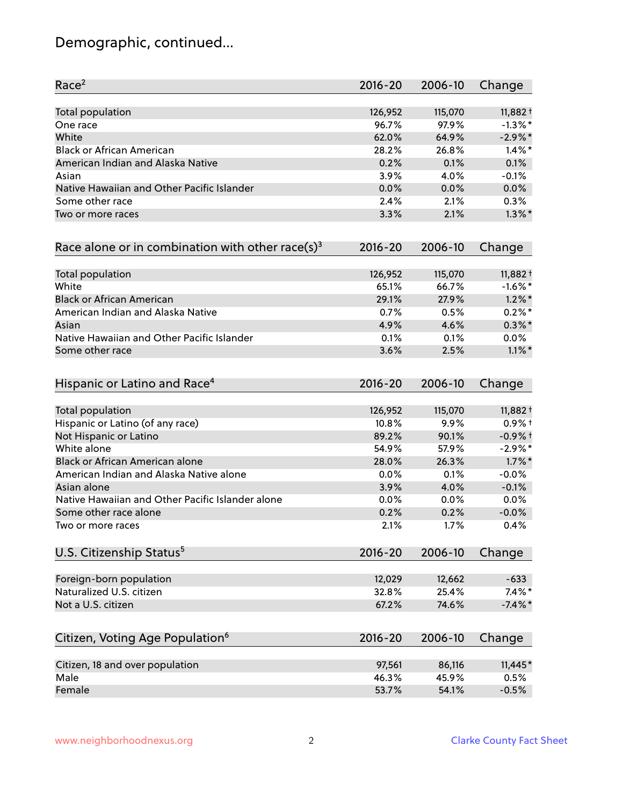# Demographic, continued...

| Race <sup>2</sup>                                            | $2016 - 20$ | 2006-10 | Change     |
|--------------------------------------------------------------|-------------|---------|------------|
| <b>Total population</b>                                      | 126,952     | 115,070 | $11,882 +$ |
| One race                                                     | 96.7%       | 97.9%   | $-1.3\%$ * |
| White                                                        | 62.0%       | 64.9%   | $-2.9\%$ * |
| <b>Black or African American</b>                             | 28.2%       | 26.8%   | $1.4\%$ *  |
| American Indian and Alaska Native                            | 0.2%        | 0.1%    | 0.1%       |
| Asian                                                        | 3.9%        | 4.0%    | $-0.1%$    |
| Native Hawaiian and Other Pacific Islander                   | 0.0%        | 0.0%    | 0.0%       |
| Some other race                                              | 2.4%        | 2.1%    | 0.3%       |
| Two or more races                                            | 3.3%        | 2.1%    | $1.3\%$ *  |
| Race alone or in combination with other race(s) <sup>3</sup> | $2016 - 20$ | 2006-10 | Change     |
| Total population                                             | 126,952     | 115,070 | 11,882+    |
| White                                                        | 65.1%       | 66.7%   | $-1.6%$ *  |
| <b>Black or African American</b>                             | 29.1%       | 27.9%   | $1.2\%$ *  |
| American Indian and Alaska Native                            | 0.7%        | 0.5%    | $0.2%$ *   |
| Asian                                                        | 4.9%        | 4.6%    | $0.3\%$ *  |
| Native Hawaiian and Other Pacific Islander                   | 0.1%        | 0.1%    | 0.0%       |
| Some other race                                              | 3.6%        | 2.5%    | $1.1\%$ *  |
| Hispanic or Latino and Race <sup>4</sup>                     | $2016 - 20$ | 2006-10 | Change     |
| Total population                                             | 126,952     | 115,070 | $11,882+$  |
| Hispanic or Latino (of any race)                             | 10.8%       | 9.9%    | $0.9%$ +   |
| Not Hispanic or Latino                                       | 89.2%       | 90.1%   | $-0.9%$ +  |
| White alone                                                  | 54.9%       | 57.9%   | $-2.9\%$ * |
| Black or African American alone                              | 28.0%       | 26.3%   | $1.7\%$ *  |
| American Indian and Alaska Native alone                      | $0.0\%$     | 0.1%    | $-0.0%$    |
| Asian alone                                                  | 3.9%        | 4.0%    | $-0.1%$    |
| Native Hawaiian and Other Pacific Islander alone             | 0.0%        | 0.0%    | 0.0%       |
| Some other race alone                                        | 0.2%        | 0.2%    | $-0.0%$    |
| Two or more races                                            | 2.1%        | 1.7%    | 0.4%       |
| U.S. Citizenship Status <sup>5</sup>                         | $2016 - 20$ | 2006-10 | Change     |
| Foreign-born population                                      | 12,029      | 12,662  | $-633$     |
| Naturalized U.S. citizen                                     | 32.8%       | 25.4%   | $7.4\%$ *  |
| Not a U.S. citizen                                           | 67.2%       | 74.6%   | $-7.4\%$ * |
| Citizen, Voting Age Population <sup>6</sup>                  | $2016 - 20$ | 2006-10 | Change     |
|                                                              |             |         |            |
| Citizen, 18 and over population                              | 97,561      | 86,116  | $11,445*$  |
| Male                                                         | 46.3%       | 45.9%   | 0.5%       |
| Female                                                       | 53.7%       | 54.1%   | $-0.5%$    |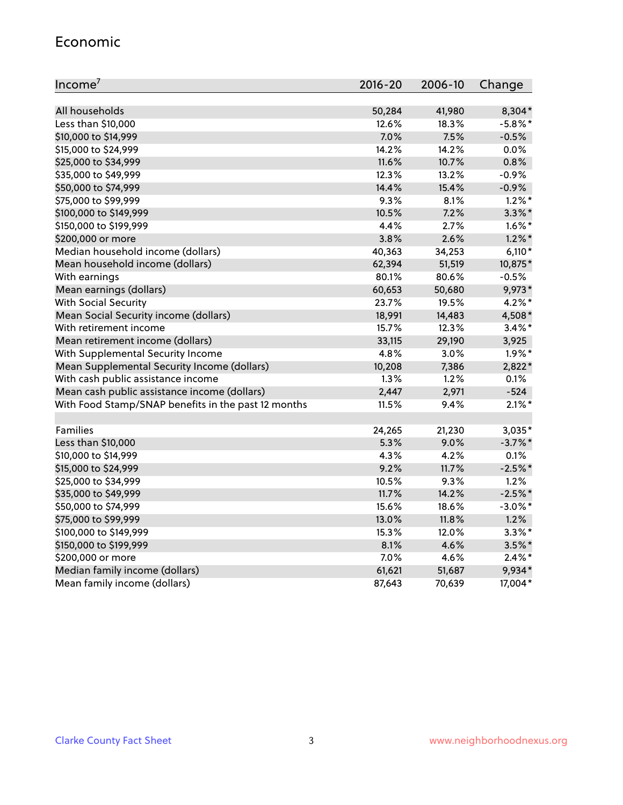#### Economic

| Income <sup>7</sup>                                 | $2016 - 20$ | 2006-10 | Change     |
|-----------------------------------------------------|-------------|---------|------------|
|                                                     |             |         |            |
| All households                                      | 50,284      | 41,980  | 8,304*     |
| Less than \$10,000                                  | 12.6%       | 18.3%   | $-5.8\%$ * |
| \$10,000 to \$14,999                                | 7.0%        | 7.5%    | $-0.5%$    |
| \$15,000 to \$24,999                                | 14.2%       | 14.2%   | 0.0%       |
| \$25,000 to \$34,999                                | 11.6%       | 10.7%   | 0.8%       |
| \$35,000 to \$49,999                                | 12.3%       | 13.2%   | $-0.9%$    |
| \$50,000 to \$74,999                                | 14.4%       | 15.4%   | $-0.9%$    |
| \$75,000 to \$99,999                                | 9.3%        | 8.1%    | $1.2\%$ *  |
| \$100,000 to \$149,999                              | 10.5%       | 7.2%    | $3.3\%$ *  |
| \$150,000 to \$199,999                              | 4.4%        | 2.7%    | $1.6\%$ *  |
| \$200,000 or more                                   | 3.8%        | 2.6%    | $1.2\%$ *  |
| Median household income (dollars)                   | 40,363      | 34,253  | $6,110*$   |
| Mean household income (dollars)                     | 62,394      | 51,519  | 10,875*    |
| With earnings                                       | 80.1%       | 80.6%   | $-0.5%$    |
| Mean earnings (dollars)                             | 60,653      | 50,680  | 9,973*     |
| <b>With Social Security</b>                         | 23.7%       | 19.5%   | 4.2%*      |
| Mean Social Security income (dollars)               | 18,991      | 14,483  | 4,508*     |
| With retirement income                              | 15.7%       | 12.3%   | $3.4\%$ *  |
| Mean retirement income (dollars)                    | 33,115      | 29,190  | 3,925      |
| With Supplemental Security Income                   | 4.8%        | 3.0%    | $1.9\%$ *  |
| Mean Supplemental Security Income (dollars)         | 10,208      | 7,386   | 2,822*     |
| With cash public assistance income                  | 1.3%        | 1.2%    | 0.1%       |
| Mean cash public assistance income (dollars)        | 2,447       | 2,971   | $-524$     |
| With Food Stamp/SNAP benefits in the past 12 months | 11.5%       | 9.4%    | $2.1\%$ *  |
|                                                     |             |         |            |
| Families                                            | 24,265      | 21,230  | 3,035*     |
| Less than \$10,000                                  | 5.3%        | 9.0%    | $-3.7%$ *  |
| \$10,000 to \$14,999                                | 4.3%        | 4.2%    | 0.1%       |
| \$15,000 to \$24,999                                | 9.2%        | 11.7%   | $-2.5%$ *  |
| \$25,000 to \$34,999                                | 10.5%       | 9.3%    | 1.2%       |
| \$35,000 to \$49,999                                | 11.7%       | 14.2%   | $-2.5%$ *  |
| \$50,000 to \$74,999                                | 15.6%       | 18.6%   | $-3.0\%$ * |
| \$75,000 to \$99,999                                | 13.0%       | 11.8%   | 1.2%       |
| \$100,000 to \$149,999                              | 15.3%       | 12.0%   | $3.3\%$ *  |
| \$150,000 to \$199,999                              | 8.1%        | 4.6%    | $3.5\%$ *  |
| \$200,000 or more                                   | 7.0%        | 4.6%    | $2.4\%$ *  |
| Median family income (dollars)                      | 61,621      | 51,687  | 9,934*     |
| Mean family income (dollars)                        | 87,643      | 70,639  | 17,004*    |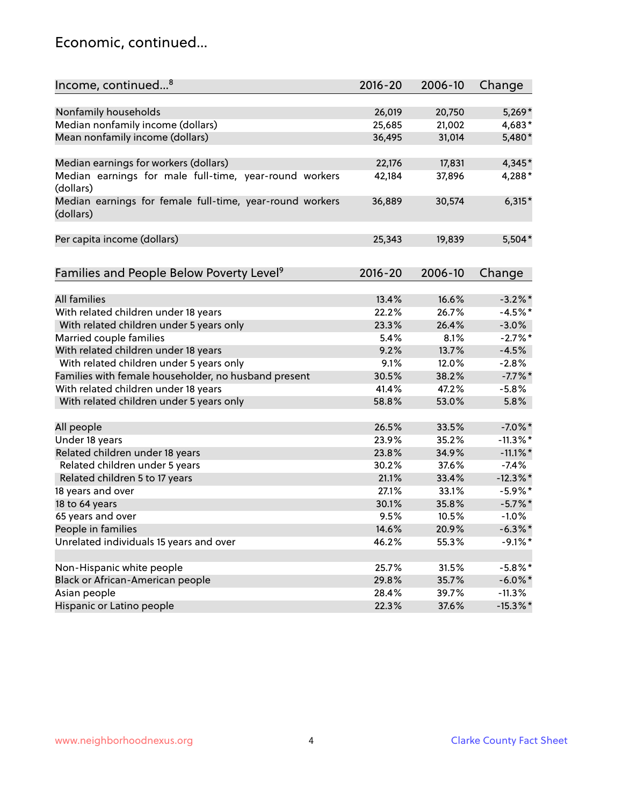#### Economic, continued...

| Income, continued <sup>8</sup>                                        | 2016-20 | 2006-10 | Change      |
|-----------------------------------------------------------------------|---------|---------|-------------|
|                                                                       |         |         |             |
| Nonfamily households                                                  | 26,019  | 20,750  | $5,269*$    |
| Median nonfamily income (dollars)                                     | 25,685  | 21,002  | 4,683*      |
| Mean nonfamily income (dollars)                                       | 36,495  | 31,014  | 5,480*      |
| Median earnings for workers (dollars)                                 | 22,176  | 17,831  | 4,345*      |
| Median earnings for male full-time, year-round workers                | 42,184  | 37,896  | 4,288*      |
| (dollars)                                                             |         |         |             |
| Median earnings for female full-time, year-round workers<br>(dollars) | 36,889  | 30,574  | $6,315*$    |
| Per capita income (dollars)                                           | 25,343  | 19,839  | 5,504*      |
| Families and People Below Poverty Level <sup>9</sup>                  | 2016-20 | 2006-10 | Change      |
|                                                                       |         |         |             |
| <b>All families</b>                                                   | 13.4%   | 16.6%   | $-3.2\%$ *  |
| With related children under 18 years                                  | 22.2%   | 26.7%   | $-4.5%$ *   |
| With related children under 5 years only                              | 23.3%   | 26.4%   | $-3.0%$     |
| Married couple families                                               | 5.4%    | 8.1%    | $-2.7%$ *   |
| With related children under 18 years                                  | 9.2%    | 13.7%   | $-4.5%$     |
| With related children under 5 years only                              | 9.1%    | 12.0%   | $-2.8%$     |
| Families with female householder, no husband present                  | 30.5%   | 38.2%   | $-7.7\%$ *  |
| With related children under 18 years                                  | 41.4%   | 47.2%   | $-5.8%$     |
| With related children under 5 years only                              | 58.8%   | 53.0%   | 5.8%        |
| All people                                                            | 26.5%   | 33.5%   | $-7.0\%$ *  |
| Under 18 years                                                        | 23.9%   | 35.2%   | $-11.3\%$ * |
| Related children under 18 years                                       | 23.8%   | 34.9%   | $-11.1\%$ * |
| Related children under 5 years                                        | 30.2%   | 37.6%   | $-7.4%$     |
| Related children 5 to 17 years                                        | 21.1%   | 33.4%   | $-12.3\%$ * |
| 18 years and over                                                     | 27.1%   | 33.1%   | $-5.9\%$ *  |
| 18 to 64 years                                                        | 30.1%   | 35.8%   | $-5.7\%$ *  |
| 65 years and over                                                     | 9.5%    | 10.5%   | $-1.0\%$    |
| People in families                                                    | 14.6%   | 20.9%   | $-6.3\%$ *  |
| Unrelated individuals 15 years and over                               | 46.2%   | 55.3%   | $-9.1\%$ *  |
|                                                                       |         |         |             |
| Non-Hispanic white people                                             | 25.7%   | 31.5%   | $-5.8\%$ *  |
| Black or African-American people                                      | 29.8%   | 35.7%   | $-6.0\%$ *  |
| Asian people                                                          | 28.4%   | 39.7%   | $-11.3%$    |
| Hispanic or Latino people                                             | 22.3%   | 37.6%   | $-15.3\%$ * |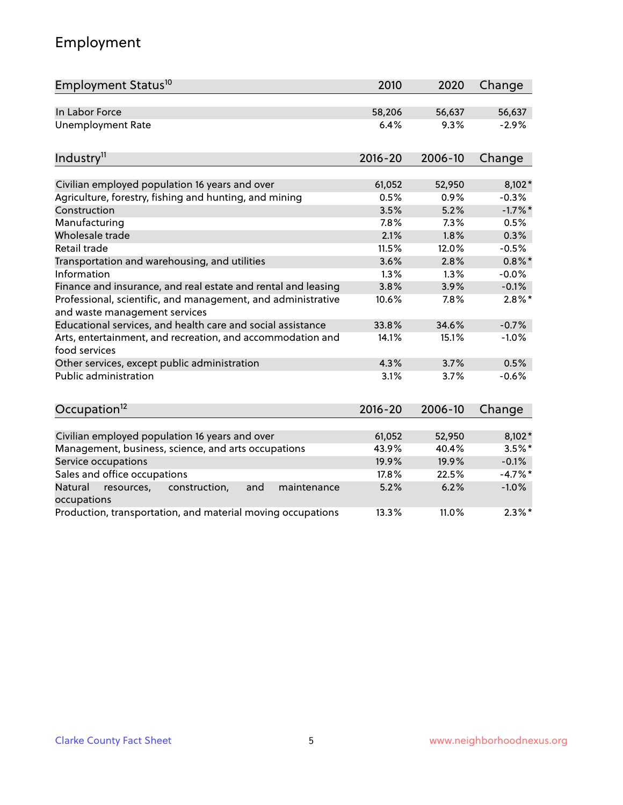# Employment

| Employment Status <sup>10</sup>                                                                          | 2010           | 2020           | Change              |
|----------------------------------------------------------------------------------------------------------|----------------|----------------|---------------------|
| In Labor Force                                                                                           | 58,206         | 56,637         | 56,637              |
| <b>Unemployment Rate</b>                                                                                 | 6.4%           | 9.3%           | $-2.9%$             |
| Industry <sup>11</sup>                                                                                   | $2016 - 20$    | 2006-10        | Change              |
|                                                                                                          |                |                |                     |
| Civilian employed population 16 years and over<br>Agriculture, forestry, fishing and hunting, and mining | 61,052<br>0.5% | 52,950<br>0.9% | $8,102*$<br>$-0.3%$ |
| Construction                                                                                             | 3.5%           | 5.2%           | $-1.7%$ *           |
| Manufacturing                                                                                            | 7.8%           | 7.3%           | 0.5%                |
| Wholesale trade                                                                                          | 2.1%           | 1.8%           | 0.3%                |
| Retail trade                                                                                             | 11.5%          | 12.0%          | $-0.5%$             |
| Transportation and warehousing, and utilities                                                            | 3.6%           | 2.8%           | $0.8\%$ *           |
| Information                                                                                              | 1.3%           | 1.3%           | $-0.0%$             |
| Finance and insurance, and real estate and rental and leasing                                            | 3.8%           | 3.9%           | $-0.1%$             |
| Professional, scientific, and management, and administrative<br>and waste management services            | 10.6%          | 7.8%           | $2.8\%$ *           |
| Educational services, and health care and social assistance                                              | 33.8%          | 34.6%          | $-0.7%$             |
| Arts, entertainment, and recreation, and accommodation and<br>food services                              | 14.1%          | 15.1%          | $-1.0%$             |
| Other services, except public administration                                                             | 4.3%           | 3.7%           | 0.5%                |
| <b>Public administration</b>                                                                             | 3.1%           | 3.7%           | $-0.6%$             |
| Occupation <sup>12</sup>                                                                                 | $2016 - 20$    | 2006-10        | Change              |
|                                                                                                          |                |                |                     |
| Civilian employed population 16 years and over                                                           | 61,052         | 52,950         | $8,102*$            |
| Management, business, science, and arts occupations                                                      | 43.9%          | 40.4%          | $3.5\%$ *           |
| Service occupations                                                                                      | 19.9%          | 19.9%          | $-0.1%$             |
| Sales and office occupations                                                                             | 17.8%          | 22.5%          | $-4.7%$ *           |
| Natural<br>resources,<br>construction,<br>and<br>maintenance<br>occupations                              | 5.2%           | 6.2%           | $-1.0%$             |
| Production, transportation, and material moving occupations                                              | 13.3%          | 11.0%          | $2.3\%$ *           |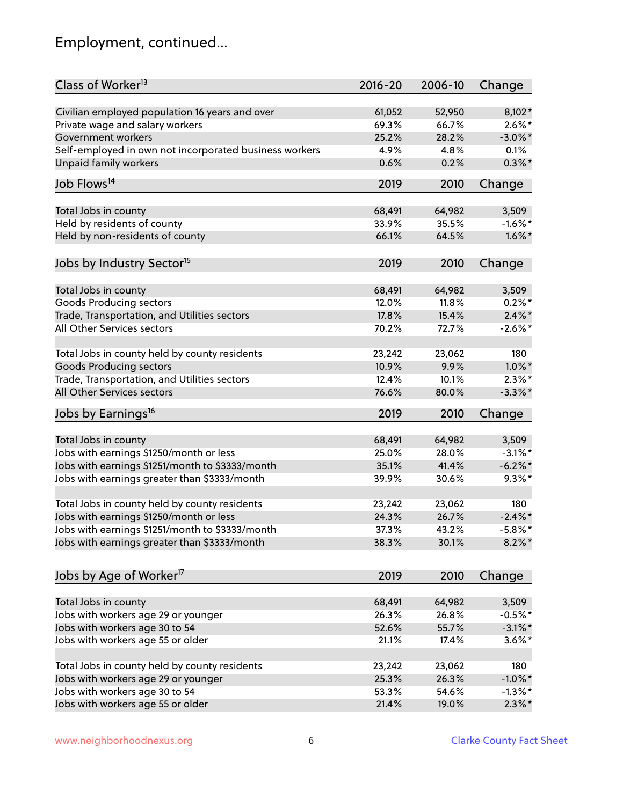# Employment, continued...

| Class of Worker <sup>13</sup>                                              | $2016 - 20$ | 2006-10 | Change     |
|----------------------------------------------------------------------------|-------------|---------|------------|
| Civilian employed population 16 years and over                             | 61,052      | 52,950  | $8,102*$   |
| Private wage and salary workers                                            | 69.3%       | 66.7%   | $2.6\%$ *  |
| Government workers                                                         | 25.2%       | 28.2%   | $-3.0\%$ * |
| Self-employed in own not incorporated business workers                     | 4.9%        | 4.8%    | 0.1%       |
| <b>Unpaid family workers</b>                                               | 0.6%        | 0.2%    | $0.3\%$ *  |
| Job Flows <sup>14</sup>                                                    | 2019        | 2010    | Change     |
|                                                                            |             |         |            |
| Total Jobs in county                                                       | 68,491      | 64,982  | 3,509      |
| Held by residents of county                                                | 33.9%       | 35.5%   | $-1.6\%$ * |
| Held by non-residents of county                                            | 66.1%       | 64.5%   | $1.6\%$ *  |
|                                                                            |             |         |            |
| Jobs by Industry Sector <sup>15</sup>                                      | 2019        | 2010    | Change     |
| Total Jobs in county                                                       | 68,491      | 64,982  | 3,509      |
| Goods Producing sectors                                                    | 12.0%       | 11.8%   | $0.2%$ *   |
|                                                                            | 17.8%       | 15.4%   | $2.4\%$ *  |
| Trade, Transportation, and Utilities sectors<br>All Other Services sectors |             |         |            |
|                                                                            | 70.2%       | 72.7%   | $-2.6\%$ * |
| Total Jobs in county held by county residents                              | 23,242      | 23,062  | 180        |
| <b>Goods Producing sectors</b>                                             | 10.9%       | 9.9%    | $1.0\%$ *  |
| Trade, Transportation, and Utilities sectors                               | 12.4%       | 10.1%   | $2.3\%$ *  |
| All Other Services sectors                                                 | 76.6%       | 80.0%   | $-3.3\%$ * |
|                                                                            |             |         |            |
| Jobs by Earnings <sup>16</sup>                                             | 2019        | 2010    | Change     |
| Total Jobs in county                                                       | 68,491      | 64,982  | 3,509      |
| Jobs with earnings \$1250/month or less                                    | 25.0%       | 28.0%   | $-3.1\%$ * |
| Jobs with earnings \$1251/month to \$3333/month                            | 35.1%       | 41.4%   | $-6.2\%$ * |
| Jobs with earnings greater than \$3333/month                               | 39.9%       | 30.6%   | $9.3\%$ *  |
|                                                                            |             |         |            |
| Total Jobs in county held by county residents                              | 23,242      | 23,062  | 180        |
| Jobs with earnings \$1250/month or less                                    | 24.3%       | 26.7%   | $-2.4\%$ * |
| Jobs with earnings \$1251/month to \$3333/month                            | 37.3%       | 43.2%   | $-5.8\%$ * |
| Jobs with earnings greater than \$3333/month                               | 38.3%       | 30.1%   | $8.2\%$ *  |
|                                                                            |             |         |            |
| Jobs by Age of Worker <sup>17</sup>                                        | 2019        | 2010    | Change     |
| Total Jobs in county                                                       | 68,491      | 64,982  | 3,509      |
| Jobs with workers age 29 or younger                                        | 26.3%       | 26.8%   | $-0.5%$ *  |
|                                                                            | 52.6%       | 55.7%   | $-3.1\%$ * |
| Jobs with workers age 30 to 54                                             |             |         |            |
| Jobs with workers age 55 or older                                          | 21.1%       | 17.4%   | $3.6\%$ *  |
| Total Jobs in county held by county residents                              | 23,242      | 23,062  | 180        |
| Jobs with workers age 29 or younger                                        | 25.3%       | 26.3%   | $-1.0\%$ * |
| Jobs with workers age 30 to 54                                             | 53.3%       | 54.6%   | $-1.3\%$ * |
| Jobs with workers age 55 or older                                          | 21.4%       | 19.0%   | $2.3\%$ *  |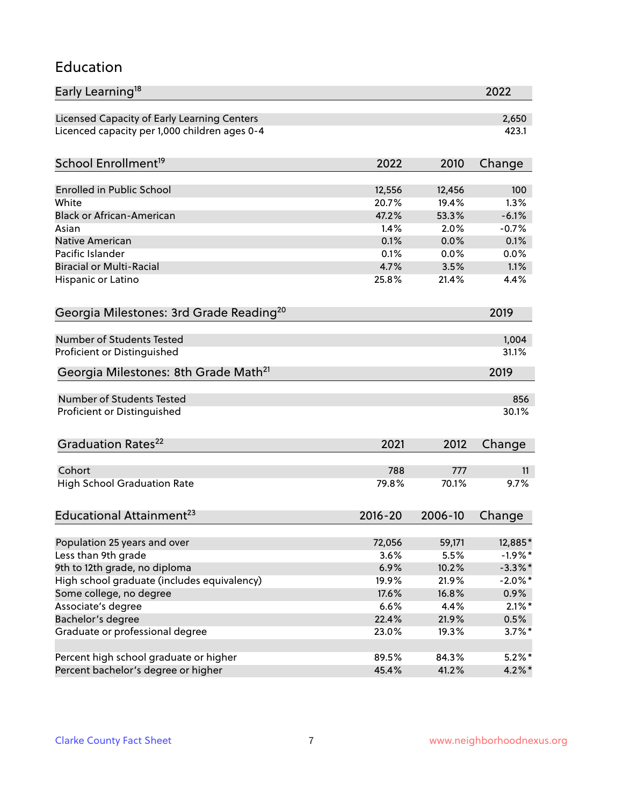#### Education

| Early Learning <sup>18</sup>                        |               |               | 2022         |
|-----------------------------------------------------|---------------|---------------|--------------|
| Licensed Capacity of Early Learning Centers         |               |               | 2,650        |
| Licenced capacity per 1,000 children ages 0-4       |               |               | 423.1        |
| School Enrollment <sup>19</sup>                     | 2022          | 2010          | Change       |
|                                                     |               |               |              |
| <b>Enrolled in Public School</b>                    | 12,556        | 12,456        | 100          |
| White<br><b>Black or African-American</b>           | 20.7%         | 19.4%         | 1.3%         |
|                                                     | 47.2%<br>1.4% | 53.3%<br>2.0% | $-6.1%$      |
| Asian                                               |               |               | $-0.7%$      |
| <b>Native American</b><br>Pacific Islander          | 0.1%<br>0.1%  | 0.0%          | 0.1%         |
| <b>Biracial or Multi-Racial</b>                     | 4.7%          | 0.0%<br>3.5%  | 0.0%<br>1.1% |
|                                                     |               |               |              |
| Hispanic or Latino                                  | 25.8%         | 21.4%         | 4.4%         |
| Georgia Milestones: 3rd Grade Reading <sup>20</sup> |               |               | 2019         |
| Number of Students Tested                           |               |               | 1,004        |
| Proficient or Distinguished                         |               |               | 31.1%        |
|                                                     |               |               |              |
| Georgia Milestones: 8th Grade Math <sup>21</sup>    |               |               | 2019         |
| Number of Students Tested                           |               |               | 856          |
| Proficient or Distinguished                         |               |               | 30.1%        |
| Graduation Rates <sup>22</sup>                      | 2021          | 2012          | Change       |
|                                                     |               |               |              |
| Cohort                                              | 788           | 777           | 11           |
| <b>High School Graduation Rate</b>                  | 79.8%         | 70.1%         | 9.7%         |
| Educational Attainment <sup>23</sup>                | $2016 - 20$   | 2006-10       | Change       |
| Population 25 years and over                        | 72,056        | 59,171        | 12,885*      |
| Less than 9th grade                                 | 3.6%          | 5.5%          | $-1.9%$ *    |
| 9th to 12th grade, no diploma                       | 6.9%          | 10.2%         | $-3.3\%$ *   |
| High school graduate (includes equivalency)         | 19.9%         | 21.9%         | $-2.0\%$ *   |
| Some college, no degree                             | 17.6%         | 16.8%         | $0.9\%$      |
| Associate's degree                                  | 6.6%          | 4.4%          | $2.1\%$ *    |
| Bachelor's degree                                   | 22.4%         | 21.9%         | 0.5%         |
| Graduate or professional degree                     | 23.0%         | 19.3%         | $3.7\%$ *    |
|                                                     |               |               |              |
| Percent high school graduate or higher              | 89.5%         | 84.3%         | $5.2\%$ *    |
| Percent bachelor's degree or higher                 | 45.4%         | 41.2%         | $4.2\%$ *    |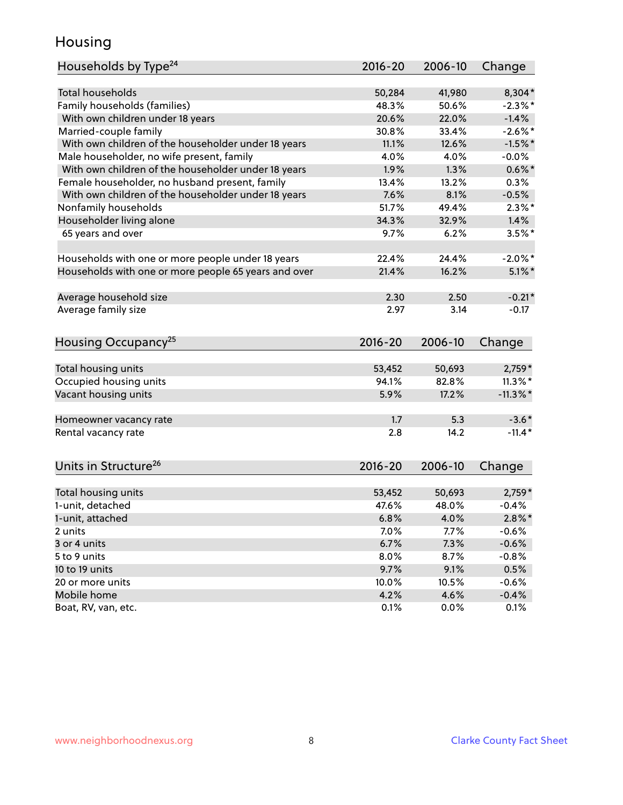#### Housing

| Households by Type <sup>24</sup>                     | 2016-20     | 2006-10 | Change      |
|------------------------------------------------------|-------------|---------|-------------|
|                                                      |             |         |             |
| <b>Total households</b>                              | 50,284      | 41,980  | 8,304*      |
| Family households (families)                         | 48.3%       | 50.6%   | $-2.3\%$ *  |
| With own children under 18 years                     | 20.6%       | 22.0%   | $-1.4%$     |
| Married-couple family                                | 30.8%       | 33.4%   | $-2.6\%$ *  |
| With own children of the householder under 18 years  | 11.1%       | 12.6%   | $-1.5%$ *   |
| Male householder, no wife present, family            | 4.0%        | 4.0%    | $-0.0\%$    |
| With own children of the householder under 18 years  | 1.9%        | 1.3%    | $0.6\%$ *   |
| Female householder, no husband present, family       | 13.4%       | 13.2%   | 0.3%        |
| With own children of the householder under 18 years  | 7.6%        | 8.1%    | $-0.5%$     |
| Nonfamily households                                 | 51.7%       | 49.4%   | $2.3\%$ *   |
| Householder living alone                             | 34.3%       | 32.9%   | 1.4%        |
| 65 years and over                                    | 9.7%        | 6.2%    | $3.5%$ *    |
|                                                      |             |         |             |
| Households with one or more people under 18 years    | 22.4%       | 24.4%   | $-2.0\%$ *  |
| Households with one or more people 65 years and over | 21.4%       | 16.2%   | $5.1\%$ *   |
| Average household size                               | 2.30        | 2.50    | $-0.21*$    |
| Average family size                                  | 2.97        | 3.14    | $-0.17$     |
|                                                      |             |         |             |
| Housing Occupancy <sup>25</sup>                      | $2016 - 20$ | 2006-10 | Change      |
|                                                      |             |         |             |
| Total housing units                                  | 53,452      | 50,693  | $2,759*$    |
| Occupied housing units                               | 94.1%       | 82.8%   | $11.3\%$ *  |
| Vacant housing units                                 | 5.9%        | 17.2%   | $-11.3\%$ * |
| Homeowner vacancy rate                               | 1.7         | 5.3     | $-3.6*$     |
| Rental vacancy rate                                  | 2.8         | 14.2    | $-11.4*$    |
|                                                      |             |         |             |
| Units in Structure <sup>26</sup>                     | $2016 - 20$ | 2006-10 | Change      |
| Total housing units                                  | 53,452      | 50,693  | $2,759*$    |
| 1-unit, detached                                     | 47.6%       | 48.0%   | $-0.4%$     |
| 1-unit, attached                                     | 6.8%        | 4.0%    | $2.8\%$ *   |
| 2 units                                              | 7.0%        | 7.7%    | $-0.6%$     |
| 3 or 4 units                                         | 6.7%        | 7.3%    | $-0.6%$     |
| 5 to 9 units                                         | 8.0%        | 8.7%    | $-0.8%$     |
| 10 to 19 units                                       | 9.7%        | 9.1%    | 0.5%        |
|                                                      |             |         |             |
| 20 or more units                                     | 10.0%       | 10.5%   | $-0.6%$     |
| Mobile home                                          | 4.2%        | 4.6%    | $-0.4%$     |
| Boat, RV, van, etc.                                  | 0.1%        | $0.0\%$ | 0.1%        |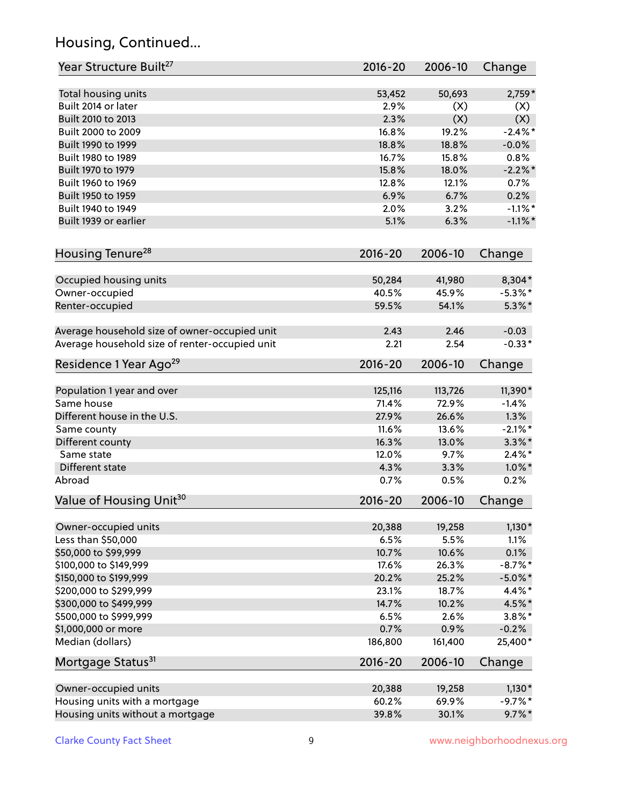# Housing, Continued...

| Year Structure Built <sup>27</sup>             | 2016-20     | 2006-10 | Change     |
|------------------------------------------------|-------------|---------|------------|
| Total housing units                            | 53,452      | 50,693  | $2,759*$   |
| Built 2014 or later                            | 2.9%        | (X)     | (X)        |
| Built 2010 to 2013                             | 2.3%        | (X)     | (X)        |
| Built 2000 to 2009                             | 16.8%       | 19.2%   | $-2.4\%$ * |
| Built 1990 to 1999                             | 18.8%       | 18.8%   | $-0.0%$    |
| Built 1980 to 1989                             | 16.7%       | 15.8%   | 0.8%       |
| Built 1970 to 1979                             | 15.8%       | 18.0%   | $-2.2\%$ * |
| Built 1960 to 1969                             | 12.8%       | 12.1%   | 0.7%       |
| Built 1950 to 1959                             | 6.9%        | 6.7%    | 0.2%       |
| Built 1940 to 1949                             | 2.0%        | 3.2%    | $-1.1\%$ * |
| Built 1939 or earlier                          | 5.1%        | 6.3%    | $-1.1\%$ * |
| Housing Tenure <sup>28</sup>                   | $2016 - 20$ | 2006-10 | Change     |
|                                                |             |         |            |
| Occupied housing units                         | 50,284      | 41,980  | 8,304*     |
| Owner-occupied                                 | 40.5%       | 45.9%   | $-5.3\%$ * |
| Renter-occupied                                | 59.5%       | 54.1%   | $5.3\%$ *  |
| Average household size of owner-occupied unit  | 2.43        | 2.46    | $-0.03$    |
| Average household size of renter-occupied unit | 2.21        | 2.54    | $-0.33*$   |
| Residence 1 Year Ago <sup>29</sup>             | $2016 - 20$ | 2006-10 | Change     |
| Population 1 year and over                     | 125,116     | 113,726 | 11,390*    |
| Same house                                     | 71.4%       | 72.9%   | $-1.4%$    |
| Different house in the U.S.                    | 27.9%       | 26.6%   | 1.3%       |
| Same county                                    | 11.6%       | 13.6%   | $-2.1\%$ * |
| Different county                               | 16.3%       | 13.0%   | $3.3\%$ *  |
| Same state                                     | 12.0%       | 9.7%    | $2.4\%$ *  |
| Different state                                | 4.3%        | 3.3%    | $1.0\%$ *  |
| Abroad                                         | 0.7%        | 0.5%    | 0.2%       |
| Value of Housing Unit <sup>30</sup>            | $2016 - 20$ | 2006-10 | Change     |
| Owner-occupied units                           | 20,388      | 19,258  | $1,130*$   |
| Less than \$50,000                             | 6.5%        | 5.5%    | 1.1%       |
| \$50,000 to \$99,999                           | 10.7%       | 10.6%   | 0.1%       |
| \$100,000 to \$149,999                         | 17.6%       | 26.3%   | $-8.7\%$ * |
| \$150,000 to \$199,999                         | 20.2%       | 25.2%   | $-5.0\%$ * |
| \$200,000 to \$299,999                         | 23.1%       | 18.7%   | 4.4%*      |
| \$300,000 to \$499,999                         | 14.7%       | 10.2%   | 4.5%*      |
| \$500,000 to \$999,999                         | 6.5%        | 2.6%    | $3.8\%$ *  |
| \$1,000,000 or more                            | 0.7%        | 0.9%    | $-0.2%$    |
| Median (dollars)                               | 186,800     | 161,400 | 25,400*    |
| Mortgage Status <sup>31</sup>                  | $2016 - 20$ | 2006-10 | Change     |
|                                                |             |         |            |
| Owner-occupied units                           | 20,388      | 19,258  | $1,130*$   |
| Housing units with a mortgage                  | 60.2%       | 69.9%   | $-9.7%$ *  |
| Housing units without a mortgage               | 39.8%       | 30.1%   | $9.7\%$ *  |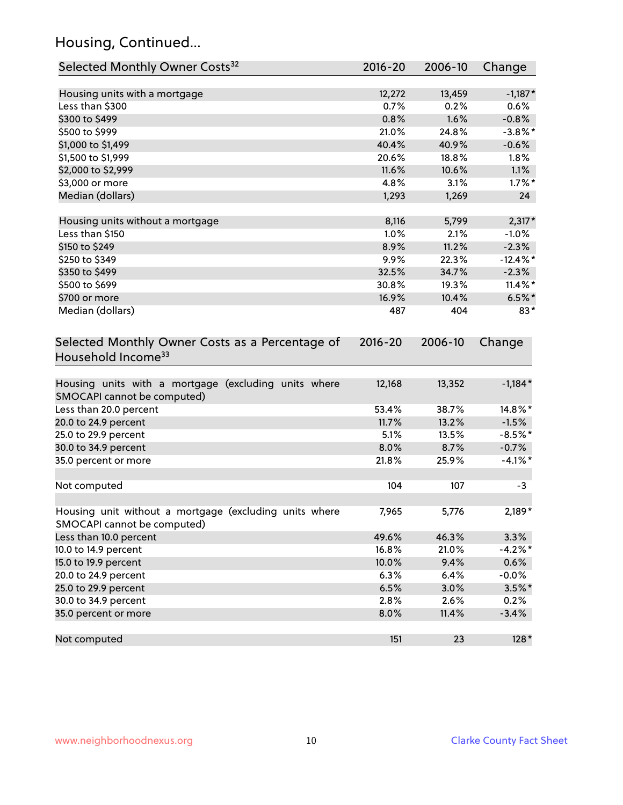# Housing, Continued...

| Selected Monthly Owner Costs <sup>32</sup>                                            | 2016-20     | 2006-10 | Change      |
|---------------------------------------------------------------------------------------|-------------|---------|-------------|
| Housing units with a mortgage                                                         | 12,272      | 13,459  | $-1,187*$   |
| Less than \$300                                                                       | 0.7%        | 0.2%    | 0.6%        |
| \$300 to \$499                                                                        | 0.8%        | 1.6%    | $-0.8%$     |
| \$500 to \$999                                                                        | 21.0%       | 24.8%   | $-3.8\%$ *  |
| \$1,000 to \$1,499                                                                    | 40.4%       | 40.9%   | $-0.6%$     |
| \$1,500 to \$1,999                                                                    | 20.6%       | 18.8%   | $1.8\%$     |
| \$2,000 to \$2,999                                                                    | 11.6%       | 10.6%   | 1.1%        |
| \$3,000 or more                                                                       | 4.8%        | 3.1%    | $1.7\%$ *   |
| Median (dollars)                                                                      | 1,293       | 1,269   | 24          |
| Housing units without a mortgage                                                      | 8,116       | 5,799   | $2,317*$    |
| Less than \$150                                                                       | 1.0%        | 2.1%    | $-1.0%$     |
| \$150 to \$249                                                                        | 8.9%        | 11.2%   | $-2.3%$     |
| \$250 to \$349                                                                        | 9.9%        | 22.3%   | $-12.4\%$ * |
| \$350 to \$499                                                                        | 32.5%       | 34.7%   | $-2.3%$     |
| \$500 to \$699                                                                        | 30.8%       | 19.3%   | $11.4\%$ *  |
| \$700 or more                                                                         | 16.9%       | 10.4%   | $6.5%$ *    |
| Median (dollars)                                                                      | 487         | 404     | $83*$       |
| Selected Monthly Owner Costs as a Percentage of<br>Household Income <sup>33</sup>     | $2016 - 20$ | 2006-10 | Change      |
| Housing units with a mortgage (excluding units where<br>SMOCAPI cannot be computed)   | 12,168      | 13,352  | $-1,184*$   |
| Less than 20.0 percent                                                                | 53.4%       | 38.7%   | $14.8\%$ *  |
| 20.0 to 24.9 percent                                                                  | 11.7%       | 13.2%   | $-1.5%$     |
| 25.0 to 29.9 percent                                                                  | 5.1%        | 13.5%   | $-8.5%$ *   |
| 30.0 to 34.9 percent                                                                  | 8.0%        | 8.7%    | $-0.7%$     |
| 35.0 percent or more                                                                  | 21.8%       | 25.9%   | $-4.1\%$ *  |
| Not computed                                                                          | 104         | 107     | $-3$        |
| Housing unit without a mortgage (excluding units where<br>SMOCAPI cannot be computed) | 7,965       | 5,776   | $2,189*$    |
| Less than 10.0 percent                                                                | 49.6%       | 46.3%   | 3.3%        |
| 10.0 to 14.9 percent                                                                  | 16.8%       | 21.0%   | $-4.2%$ *   |
| 15.0 to 19.9 percent                                                                  | 10.0%       | 9.4%    | 0.6%        |
| 20.0 to 24.9 percent                                                                  | 6.3%        | 6.4%    | $-0.0%$     |
| 25.0 to 29.9 percent                                                                  | 6.5%        | 3.0%    | $3.5\%$ *   |
| 30.0 to 34.9 percent                                                                  | 2.8%        | 2.6%    | 0.2%        |
| 35.0 percent or more                                                                  | 8.0%        | 11.4%   | $-3.4%$     |
| Not computed                                                                          | 151         | 23      | $128*$      |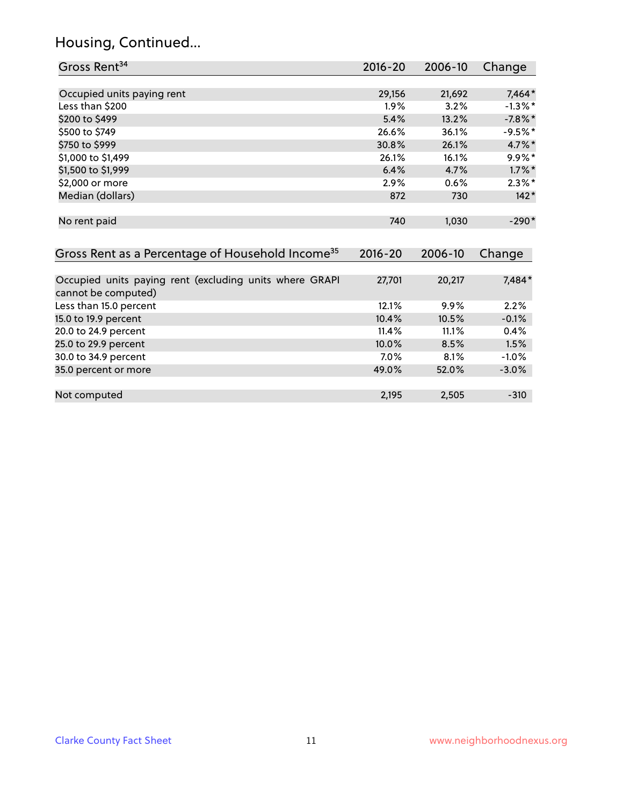# Housing, Continued...

| Gross Rent <sup>34</sup>                                                       | 2016-20     | 2006-10 | Change     |
|--------------------------------------------------------------------------------|-------------|---------|------------|
|                                                                                |             |         |            |
| Occupied units paying rent                                                     | 29,156      | 21,692  | 7,464*     |
| Less than \$200                                                                | 1.9%        | 3.2%    | $-1.3\%$ * |
| \$200 to \$499                                                                 | 5.4%        | 13.2%   | $-7.8\%$ * |
| \$500 to \$749                                                                 | 26.6%       | 36.1%   | $-9.5%$ *  |
| \$750 to \$999                                                                 | 30.8%       | 26.1%   | 4.7%*      |
| \$1,000 to \$1,499                                                             | 26.1%       | 16.1%   | $9.9\%*$   |
| \$1,500 to \$1,999                                                             | 6.4%        | 4.7%    | $1.7\%$ *  |
| \$2,000 or more                                                                | 2.9%        | 0.6%    | $2.3\%$ *  |
| Median (dollars)                                                               | 872         | 730     | $142*$     |
| No rent paid                                                                   | 740         | 1,030   | $-290*$    |
| Gross Rent as a Percentage of Household Income <sup>35</sup>                   | $2016 - 20$ | 2006-10 | Change     |
| Occupied units paying rent (excluding units where GRAPI<br>cannot be computed) | 27,701      | 20,217  | 7,484*     |
| Less than 15.0 percent                                                         | 12.1%       | 9.9%    | 2.2%       |
| 15.0 to 19.9 percent                                                           | 10.4%       | 10.5%   | $-0.1%$    |
| 20.0 to 24.9 percent                                                           | 11.4%       | 11.1%   | 0.4%       |
| 25.0 to 29.9 percent                                                           | 10.0%       | 8.5%    | 1.5%       |
| 30.0 to 34.9 percent                                                           | 7.0%        | 8.1%    | $-1.0%$    |
| 35.0 percent or more                                                           | 49.0%       | 52.0%   | $-3.0%$    |
| Not computed                                                                   | 2,195       | 2,505   | $-310$     |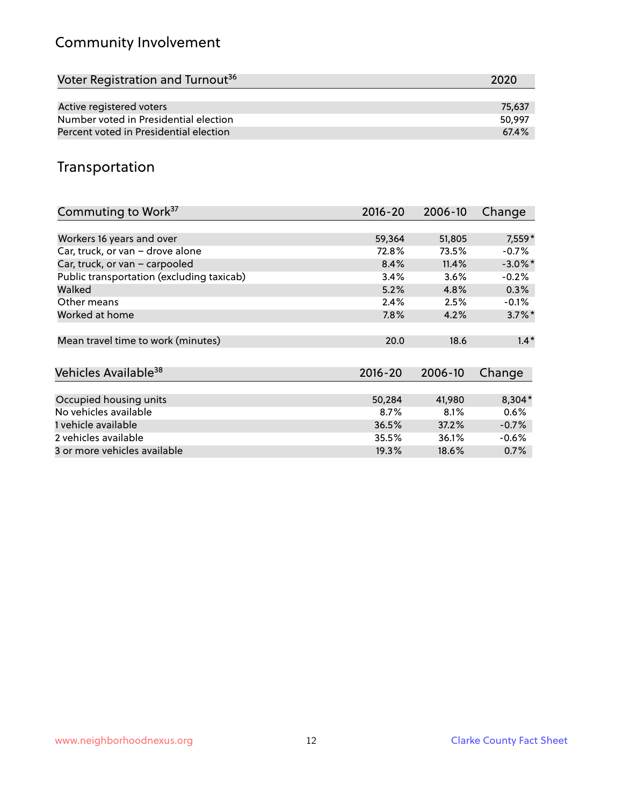# Community Involvement

| Voter Registration and Turnout <sup>36</sup> | 2020   |
|----------------------------------------------|--------|
|                                              |        |
| Active registered voters                     | 75.637 |
| Number voted in Presidential election        | 50.997 |
| Percent voted in Presidential election       | 67.4%  |
|                                              |        |

#### Transportation

| Commuting to Work <sup>37</sup>           | 2016-20     | 2006-10 | Change               |
|-------------------------------------------|-------------|---------|----------------------|
|                                           |             |         |                      |
| Workers 16 years and over                 | 59,364      | 51,805  | 7,559*               |
| Car, truck, or van - drove alone          | 72.8%       | 73.5%   | $-0.7%$              |
| Car, truck, or van - carpooled            | 8.4%        | 11.4%   | $-3.0\%$ *           |
| Public transportation (excluding taxicab) | 3.4%        | 3.6%    | $-0.2%$              |
| Walked                                    | 5.2%        | 4.8%    | 0.3%                 |
| Other means                               | 2.4%        | 2.5%    | $-0.1%$              |
| Worked at home                            | 7.8%        | 4.2%    | $3.7\%$ <sup>*</sup> |
| Mean travel time to work (minutes)        | 20.0        | 18.6    | $1.4*$               |
| Vehicles Available <sup>38</sup>          | $2016 - 20$ | 2006-10 | Change               |
|                                           |             |         |                      |
| Occupied housing units                    | 50,284      | 41,980  | $8,304*$             |
| No vehicles available                     | 8.7%        | 8.1%    | 0.6%                 |
| 1 vehicle available                       | 36.5%       | 37.2%   | $-0.7%$              |
| 2 vehicles available                      | 35.5%       | 36.1%   | $-0.6%$              |
| 3 or more vehicles available              | 19.3%       | 18.6%   | $0.7\%$              |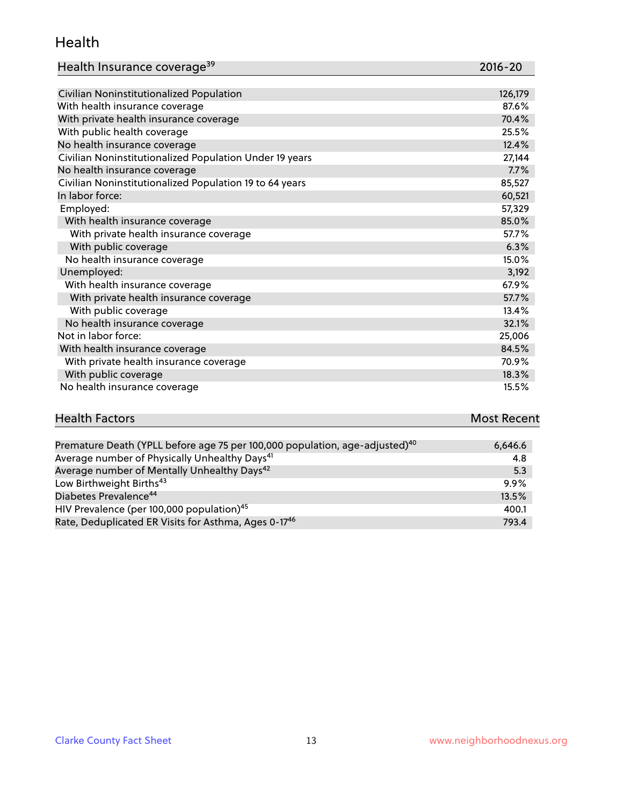#### Health

| Health Insurance coverage <sup>39</sup> | 2016-20 |
|-----------------------------------------|---------|
|-----------------------------------------|---------|

| Civilian Noninstitutionalized Population                | 126,179 |
|---------------------------------------------------------|---------|
| With health insurance coverage                          | 87.6%   |
| With private health insurance coverage                  | 70.4%   |
| With public health coverage                             | 25.5%   |
| No health insurance coverage                            | 12.4%   |
| Civilian Noninstitutionalized Population Under 19 years | 27,144  |
| No health insurance coverage                            | 7.7%    |
| Civilian Noninstitutionalized Population 19 to 64 years | 85,527  |
| In labor force:                                         | 60,521  |
| Employed:                                               | 57,329  |
| With health insurance coverage                          | 85.0%   |
| With private health insurance coverage                  | 57.7%   |
| With public coverage                                    | 6.3%    |
| No health insurance coverage                            | 15.0%   |
| Unemployed:                                             | 3,192   |
| With health insurance coverage                          | 67.9%   |
| With private health insurance coverage                  | 57.7%   |
| With public coverage                                    | 13.4%   |
| No health insurance coverage                            | 32.1%   |
| Not in labor force:                                     | 25,006  |
| With health insurance coverage                          | 84.5%   |
| With private health insurance coverage                  | 70.9%   |
| With public coverage                                    | 18.3%   |
| No health insurance coverage                            | 15.5%   |

# **Health Factors Most Recent** And The Control of the Control of The Control of The Control of The Control of The Control of The Control of The Control of The Control of The Control of The Control of The Control of The Contr

| Premature Death (YPLL before age 75 per 100,000 population, age-adjusted) <sup>40</sup> | 6,646.6 |
|-----------------------------------------------------------------------------------------|---------|
| Average number of Physically Unhealthy Days <sup>41</sup>                               | 4.8     |
| Average number of Mentally Unhealthy Days <sup>42</sup>                                 | 5.3     |
| Low Birthweight Births <sup>43</sup>                                                    | 9.9%    |
| Diabetes Prevalence <sup>44</sup>                                                       | 13.5%   |
| HIV Prevalence (per 100,000 population) <sup>45</sup>                                   | 400.1   |
| Rate, Deduplicated ER Visits for Asthma, Ages 0-17 <sup>46</sup>                        | 793.4   |